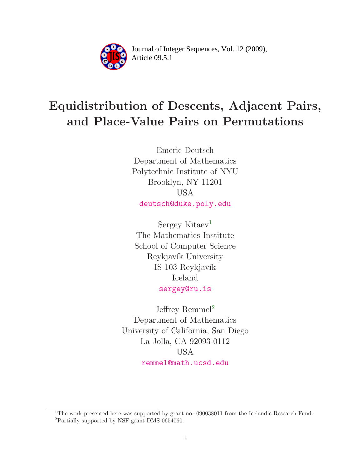

Article 09.5.1 **<sup>2</sup>** Journal of Integer Sequences, Vol. 12 (2009),

# Equidistribution of Descents, Adjacent Pairs, and Place-Value Pairs on Permutations

Emeric Deutsch Department of Mathematics Polytechnic Institute of NYU Brooklyn, NY 11201 USA [deutsch@duke.poly.edu](mailto:deutsch@duke.poly.edu)

Sergey Kitaev<sup>[1](#page-0-0)</sup> The Mathematics Institute School of Computer Science Reykjavík University IS-103 Reykjavík Iceland [sergey@ru.is](mailto:sergey@ru.is)

Jeffrey Remmel<sup>[2](#page-0-1)</sup> Department of Mathematics University of California, San Diego La Jolla, CA 92093-0112 USA [remmel@math.ucsd.edu](mailto:remmel@math.ucsd.edu)

<span id="page-0-1"></span><span id="page-0-0"></span><sup>&</sup>lt;sup>1</sup>The work presented here was supported by grant no. 090038011 from the Icelandic Research Fund. <sup>2</sup>Partially supported by NSF grant DMS 0654060.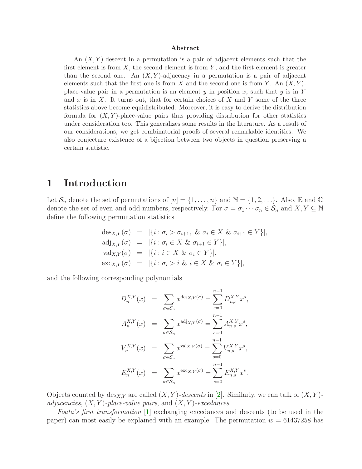#### Abstract

An  $(X, Y)$ -descent in a permutation is a pair of adjacent elements such that the first element is from  $X$ , the second element is from  $Y$ , and the first element is greater than the second one. An  $(X, Y)$ -adjacency in a permutation is a pair of adjacent elements such that the first one is from X and the second one is from Y. An  $(X, Y)$ place-value pair in a permutation is an element y in position x, such that y is in Y and x is in X. It turns out, that for certain choices of X and Y some of the three statistics above become equidistributed. Moreover, it is easy to derive the distribution formula for  $(X, Y)$ -place-value pairs thus providing distribution for other statistics under consideration too. This generalizes some results in the literature. As a result of our considerations, we get combinatorial proofs of several remarkable identities. We also conjecture existence of a bijection between two objects in question preserving a certain statistic.

## 1 Introduction

Let  $\mathcal{S}_n$  denote the set of permutations of  $[n] = \{1, \ldots, n\}$  and  $\mathbb{N} = \{1, 2, \ldots\}$ . Also, E and  $\mathbb{O}$ denote the set of even and odd numbers, respectively. For  $\sigma = \sigma_1 \cdots \sigma_n \in \mathcal{S}_n$  and  $X, Y \subseteq \mathbb{N}$ define the following permutation statistics

$$
des_{X,Y}(\sigma) = |\{i : \sigma_i > \sigma_{i+1}, \& \sigma_i \in X \& \sigma_{i+1} \in Y\}|,
$$
  
\n
$$
adj_{X,Y}(\sigma) = |\{i : \sigma_i \in X \& \sigma_{i+1} \in Y\}|,
$$
  
\n
$$
val_{X,Y}(\sigma) = |\{i : i \in X \& \sigma_i \in Y\}|,
$$
  
\n
$$
exc_{X,Y}(\sigma) = |\{i : \sigma_i > i \& i \in X \& \sigma_i \in Y\}|,
$$

and the following corresponding polynomials

$$
D_n^{X,Y}(x) = \sum_{\sigma \in S_n} x^{\deg_{X,Y}(\sigma)} = \sum_{s=0}^{n-1} D_{n,s}^{X,Y} x^s,
$$
  
\n
$$
A_n^{X,Y}(x) = \sum_{\sigma \in S_n} x^{\mathrm{adj}_{X,Y}(\sigma)} = \sum_{s=0}^{n-1} A_{n,s}^{X,Y} x^s,
$$
  
\n
$$
V_n^{X,Y}(x) = \sum_{\sigma \in S_n} x^{\mathrm{val}_{X,Y}(\sigma)} = \sum_{s=0}^{n-1} V_{n,s}^{X,Y} x^s,
$$
  
\n
$$
E_n^{X,Y}(x) = \sum_{\sigma \in S_n} x^{\mathrm{exc}_{X,Y}(\sigma)} = \sum_{s=0}^{n-1} E_{n,s}^{X,Y} x^s.
$$

Objects counted by  $\text{des}_{X,Y}$  are called  $(X, Y)$ -descents in [\[2\]](#page-17-0). Similarly, we can talk of  $(X, Y)$ adjacencies,  $(X, Y)$ -place-value pairs, and  $(X, Y)$ -excedances.

Foata's first transformation [\[1\]](#page-17-1) exchanging excedances and descents (to be used in the paper) can most easily be explained with an example. The permutation  $w = 61437258$  has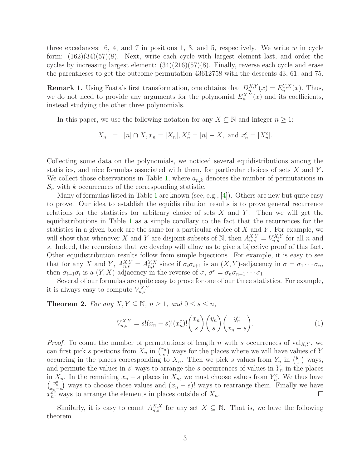three excedances: 6, 4, and 7 in positions 1, 3, and 5, respectively. We write  $w$  in cycle form:  $(162)(34)(57)(8)$ . Next, write each cycle with largest element last, and order the cycles by increasing largest element:  $(34)(216)(57)(8)$ . Finally, reverse each cycle and erase the parentheses to get the outcome permutation 43612758 with the descents 43, 61, and 75.

**Remark 1.** Using Foata's first transformation, one obtains that  $D_n^{X,Y}(x) = E_n^{Y,X}(x)$ . Thus, we do not need to provide any arguments for the polynomial  $E_n^{X,Y}(x)$  and its coefficients, instead studying the other three polynomials.

In this paper, we use the following notation for any  $X \subseteq \mathbb{N}$  and integer  $n \geq 1$ :

 $X_n = [n] \cap X, x_n = |X_n|, X_n^c = [n] - X, \text{ and } x_n^c = |X_n^c|.$ 

Collecting some data on the polynomials, we noticed several equidistributions among the statistics, and nice formulas associated with them, for particular choices of sets  $X$  and  $Y$ . We collect those observations in Table [1,](#page-3-0) where  $a_{n,k}$  denotes the number of permutations in  $S_n$  with k occurrences of the corresponding statistic.

Many of formulas listed in Table [1](#page-3-0) are known (see, e.g., [\[4\]](#page-17-2)). Others are new but quite easy to prove. Our idea to establish the equidistribution results is to prove general recurrence relations for the statistics for arbitrary choice of sets  $X$  and  $Y$ . Then we will get the equidistributions in Table [1](#page-3-0) as a simple corollary to the fact that the recurrences for the statistics in a given block are the same for a particular choice of  $X$  and  $Y$ . For example, we will show that whenever X and Y are disjoint subsets of N, then  $A_{n,s}^{X,Y} = V_{n,s}^{X,Y}$  for all n and s. Indeed, the recursions that we develop will allow us to give a bijective proof of this fact. Other equidistribution results follow from simple bijections. For example, it is easy to see that for any X and Y,  $A_{n,s}^{X,Y} = A_{n,s}^{Y,X}$  since if  $\sigma_i \sigma_{i+1}$  is an  $(X,Y)$ -adjacency in  $\sigma = \sigma_1 \cdots \sigma_n$ , then  $\sigma_{i+1}\sigma_i$  is a  $(Y, X)$ -adjacency in the reverse of  $\sigma$ ,  $\sigma^r = \sigma_n \sigma_{n-1} \cdots \sigma_1$ .

<span id="page-2-0"></span>Several of our formulas are quite easy to prove for one of our three statistics. For example, it is always easy to compute  $V_{n,s}^{X,Y}$ .

**Theorem 2.** For any  $X, Y \subseteq \mathbb{N}$ ,  $n \geq 1$ , and  $0 \leq s \leq n$ ,

$$
V_{n,s}^{X,Y} = s!(x_n - s)!(x_n^c)!\binom{x_n}{s}\binom{y_n}{s}\binom{y_n^c}{x_n - s}.
$$
 (1)

*Proof.* To count the number of permutations of length n with s occurrences of val<sub>X,Y</sub>, we can first pick s positions from  $X_n$  in  $\binom{x_n}{s}$  $(s<sub>s</sub>)$  ways for the places where we will have values of Y occurring in the places corresponding to  $X_n$ . Then we pick s values from  $Y_n$  in  $\binom{y_n}{s}$  $\binom{n}{s}$  ways, and permute the values in  $s!$  ways to arrange the s occurrences of values in  $Y_n$  in the places in  $X_n$ . In the remaining  $x_n - s$  places in  $X_n$ , we must choose values from  $Y_n^c$ . We thus have  $\binom{y_n^c}{x_n-s}$  ways to choose those values and  $(x_n-s)!$  ways to rearrange them. Finally we have  $x_n^c$ ! ways to arrange the elements in places outside of  $X_n$ .

<span id="page-2-1"></span>Similarly, it is easy to count  $A_{n,s}^{X,X}$  for any set  $X \subseteq \mathbb{N}$ . That is, we have the following theorem.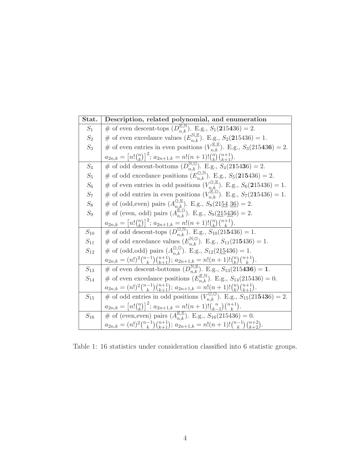| Stat.    | Description, related polynomial, and enumeration                                                                 |  |  |  |  |
|----------|------------------------------------------------------------------------------------------------------------------|--|--|--|--|
| $S_1$    | # of even descent-tops $(D_{n,k}^{\mathbb{E},\mathbb{N}})$ . E.g., $S_1(215436) = 2$ .                           |  |  |  |  |
| $S_2$    | # of even excedance values $(E_{n,k}^{\mathbb{N},\mathbb{E}})$ . E.g., $S_2(215436) = 1$ .                       |  |  |  |  |
| $S_3$    | # of even entries in even positions $(V_{n,k}^{\mathbb{E},\mathbb{E}})$ . E.g., $S_3(215436) = 2$ .              |  |  |  |  |
|          | $a_{2n,k} = [n!(\binom{n}{k})]^2$ ; $a_{2n+1,k} = n!(n+1)!(\binom{n}{k}(\binom{n+1}{k+1}).$                      |  |  |  |  |
| $S_4$    | # of odd descent-bottoms $(D_{n,k}^{\mathbb{N},\mathbb{O}})$ . E.g., $S_4(215436) = 2$ .                         |  |  |  |  |
| $S_5$    | # of odd excedance positions $(E_{n,k}^{\mathbb{O},\mathbb{N}})$ . E.g., $S_5(215436) = 2$ .                     |  |  |  |  |
| $S_6$    | # of even entries in odd positions $(V_{n,k}^{\mathbb{O},\mathbb{E}})$ . E.g., $S_6(215436) = 1$ .               |  |  |  |  |
| $S_7$    | # of odd entries in even positions $(V_{n,k}^{\mathbb{E},\mathbb{O}})$ . E.g., $S_7(215436) = 1$ .               |  |  |  |  |
| $S_8\,$  | # of (odd, even) pairs $(A_{n,k}^{\mathbb{O}, \mathbb{E}})$ . E.g., $S_8(2154 \underline{36}) = 2$ .             |  |  |  |  |
| $S_9$    | # of (even, odd) pairs $(A_{n,k}^{\mathbb{E},\mathbb{O}})$ . E.g., $S_9(215436) = 2$ .                           |  |  |  |  |
|          | $a_{2n,k} = [n!(\binom{n}{k})]^2$ ; $a_{2n+1,k} = n!(n+1)!(\binom{n}{k})\binom{n+1}{k}$ .                        |  |  |  |  |
| $S_{10}$ | # of odd descent-tops $(D_{n,k}^{\mathbb{O},\mathbb{N}})$ . E.g., $S_{10}(215436) = 1$ .                         |  |  |  |  |
| $S_{11}$ | # of odd excedance values $(E_{n,k}^{N,0})$ . E.g., $S_{11}(215436) = 1$ .                                       |  |  |  |  |
| $S_{12}$ | # of (odd,odd) pairs $(A_{n,k}^{\mathbb{U},\mathbb{U}})$ . E.g., $S_{12}(215436) = 1$ .                          |  |  |  |  |
|          | $a_{2n,k} = (n!)^2 {n-1 \choose k} {n+1 \choose k+1}; a_{2n+1,k} = n!(n+1)! {n \choose k} {n+1 \choose k}.$      |  |  |  |  |
| $S_{13}$ | # of even descent-bottoms $(D_{n,k}^{N,\mathbb{E}})$ . E.g., $S_{13}(215436) = 1$ .                              |  |  |  |  |
| $S_{14}$ | # of even excedance positions $(E_{n,k}^{\mathbb{E},\mathbb{N}})$ . E.g., $S_{14}(215436) = 0$ .                 |  |  |  |  |
|          | $a_{2n,k} = (n!)^2 {n-1 \choose k} {n+1 \choose k+1}; a_{2n+1,k} = n!(n+1)! {n \choose k} {n+1 \choose k+1}.$    |  |  |  |  |
| $S_{15}$ | # of odd entries in odd positions $(V_{n,k}^{\mathbb{O},\mathbb{O}})$ . E.g., $S_{15}(215436) = 2$ .             |  |  |  |  |
|          | $a_{2n,k} = [n!(\binom{n}{k})]^2$ ; $a_{2n+1,k} = n!(n+1)!(\binom{n}{k-1})\binom{n+1}{k}$                        |  |  |  |  |
| $S_{16}$ | # of (even, even) pairs $(A_{n,k}^{\mathbb{E},\mathbb{E}})$ . E.g., $S_{16}(215436) = 0$ .                       |  |  |  |  |
|          | $a_{2n,k} = (n!)^2 {n-1 \choose k} {n+1 \choose k+1}; a_{2n+1,k} = n! (n+1)! {n-1 \choose k} {n+2 \choose k+2}.$ |  |  |  |  |

<span id="page-3-0"></span>Table 1: 16 statistics under consideration classified into 6 statistic groups.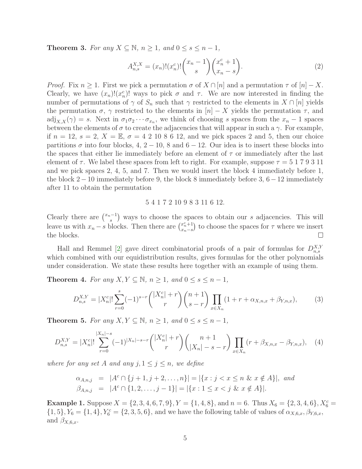**Theorem 3.** For any  $X \subseteq \mathbb{N}$ ,  $n \geq 1$ , and  $0 \leq s \leq n-1$ ,

$$
A_{n,s}^{X,X} = (x_n)! (x_n^c)! \binom{x_n - 1}{s} \binom{x_n^c + 1}{x_n - s}.
$$
 (2)

*Proof.* Fix  $n \geq 1$ . First we pick a permutation  $\sigma$  of  $X \cap [n]$  and a permutation  $\tau$  of  $[n] - X$ . Clearly, we have  $(x_n)!(x_n^c)!$  ways to pick  $\sigma$  and  $\tau$ . We are now interested in finding the number of permutations of  $\gamma$  of  $S_n$  such that  $\gamma$  restricted to the elements in  $X \cap [n]$  yields the permutation  $\sigma$ ,  $\gamma$  restricted to the elements in  $[n] - X$  yields the permutation  $\tau$ , and  $\text{adj}_{X,X}(\gamma) = s$ . Next in  $\sigma_1 \sigma_2 \cdots \sigma_{x_n}$ , we think of choosing s spaces from the  $x_n - 1$  spaces between the elements of  $\sigma$  to create the adjacencies that will appear in such a  $\gamma$ . For example, if  $n = 12$ ,  $s = 2$ ,  $X = \mathbb{E}$ ,  $\sigma = 4\ 2\ 10\ 8\ 6\ 12$ , and we pick spaces 2 and 5, then our choice partitions  $\sigma$  into four blocks, 4, 2 – 10, 8 and 6 – 12. Our idea is to insert these blocks into the spaces that either lie immediately before an element of  $\tau$  or immediately after the last element of  $\tau$ . We label these spaces from left to right. For example, suppose  $\tau = 5179311$ and we pick spaces 2, 4, 5, and 7. Then we would insert the block 4 immediately before 1, the block 2−10 immediately before 9, the block 8 immediately before 3, 6−12 immediately after 11 to obtain the permutation

### <span id="page-4-1"></span><span id="page-4-0"></span>5 4 1 7 2 10 9 8 3 11 6 12.

Clearly there are  $\binom{x_n-1}{s}$  $s^{-1}$ ) ways to choose the spaces to obtain our s adjacencies. This will leave us with  $x_n - s$  blocks. Then there are  $\binom{x_n^c+1}{x_n-s}$  $\binom{x_n^c+1}{x_n-s}$  to choose the spaces for  $\tau$  where we insert  $\Box$ the blocks.

Hall and Remmel [\[2\]](#page-17-0) gave direct combinatorial proofs of a pair of formulas for  $D_{n,s}^{X,Y}$ which combined with our equidistribution results, gives formulas for the other polynomials under consideration. We state these results here together with an example of using them.

<span id="page-4-2"></span>**Theorem 4.** For any  $X, Y \subseteq \mathbb{N}$ ,  $n \geq 1$ , and  $0 \leq s \leq n-1$ ,

$$
D_{n,s}^{X,Y} = |X_n^c|! \sum_{r=0}^s (-1)^{s-r} \binom{|X_n^c|+r}{r} \binom{n+1}{s-r} \prod_{x \in X_n} (1+r+\alpha_{X,n,x}+\beta_{Y,n,x}),\tag{3}
$$

<span id="page-4-3"></span>**Theorem 5.** For any  $X, Y \subseteq \mathbb{N}$ ,  $n \geq 1$ , and  $0 \leq s \leq n-1$ ,

$$
D_{n,s}^{X,Y} = |X_n^c|! \sum_{r=0}^{|X_n|-s} (-1)^{|X_n|-s-r} \binom{|X_n^c|+r}{r} \binom{n+1}{|X_n|-s-r} \prod_{x \in X_n} (r+\beta_{X,n,x}-\beta_{Y,n,x}), \quad (4)
$$

where for any set A and any  $j, 1 \leq j \leq n$ , we define

$$
\alpha_{A,n,j} = |A^c \cap \{j+1, j+2, \dots, n\}| = |\{x : j < x \le n \ \& x \notin A\}|, \text{ and}
$$
\n
$$
\beta_{A,n,j} = |A^c \cap \{1, 2, \dots, j-1\}| = |\{x : 1 \le x < j \ \& x \notin A\}|.
$$

**Example 1.** Suppose  $X = \{2, 3, 4, 6, 7, 9\}$ ,  $Y = \{1, 4, 8\}$ , and  $n = 6$ . Thus  $X_6 = \{2, 3, 4, 6\}$ ,  $X_6^c =$  $\{1, 5\}, Y_6 = \{1, 4\}, Y_6^c = \{2, 3, 5, 6\},\$ and we have the following table of values of  $\alpha_{X,6,x}, \beta_{Y,6,x},$ and  $\beta_{X,6,x}$ .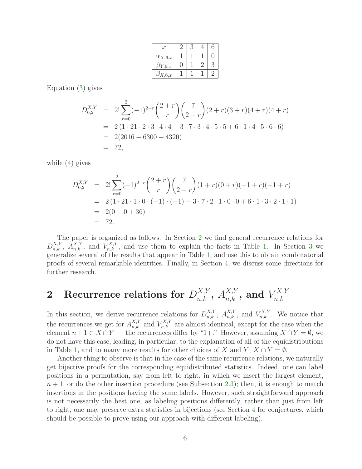| $\boldsymbol{x}$       |  | 6 |
|------------------------|--|---|
| $\alpha_{X,6,x}$       |  |   |
| $\mathfrak{I}_{Y,6,x}$ |  | К |
| $\mathfrak{I}_{X,6,x}$ |  |   |

Equation [\(3\)](#page-4-0) gives

$$
D_{6,2}^{X,Y} = 2! \sum_{r=0}^{2} (-1)^{2-r} {2+r \choose r} {7 \choose 2-r} (2+r)(3+r)(4+r)(4+r)
$$
  
= 2 (1 \cdot 21 \cdot 2 \cdot 3 \cdot 4 \cdot 4 - 3 \cdot 7 \cdot 3 \cdot 4 \cdot 5 \cdot 5 + 6 \cdot 1 \cdot 4 \cdot 5 \cdot 6 \cdot 6)  
= 2(2016 - 6300 + 4320)  
= 72,

while [\(4\)](#page-4-1) gives

$$
D_{6,2}^{X,Y} = 2! \sum_{r=0}^{2} (-1)^{2-r} {2+r \choose r} {7 \choose 2-r} (1+r)(0+r)(-1+r)(-1+r)
$$
  
= 2(1 \cdot 21 \cdot 1 \cdot 0 \cdot (-1) \cdot (-1) - 3 \cdot 7 \cdot 2 \cdot 1 \cdot 0 \cdot 0 + 6 \cdot 1 \cdot 3 \cdot 2 \cdot 1 \cdot 1)  
= 2(0 - 0 + 36)  
= 72.

The paper is organized as follows. In Section [2](#page-5-0) we find general recurrence relations for  $D_{n,k}^{X,Y}$ ,  $A_{n,k}^{X,Y}$ , and  $V_{n,k}^{X,Y}$ , and use them to explain the facts in Table [1.](#page-3-0) In Section [3](#page-10-0) we generalize several of the results that appear in Table [1,](#page-3-0) and use this to obtain combinatorial proofs of several remarkable identities. Finally, in Section [4,](#page-16-0) we discuss some directions for further research.

### <span id="page-5-0"></span> $\quad \ \ \textbf{2} \quad \textbf{Recurrence relations for } D_{n,k}^{X,Y},~A_{n,k}^{X,Y},~\textbf{and}~V_{n,k}^{X,Y}$  $n,k$

In this section, we derive recurrence relations for  $D_{n,k}^{X,Y}$ ,  $A_{n,k}^{X,Y}$ , and  $V_{n,k}^{X,Y}$ . We notice that the recurrences we get for  $A_{n,k}^{X,Y}$  and  $V_{n,k}^{X,Y}$  are almost identical, except for the case when the element  $n+1 \in X \cap Y$  — the recurrences differ by "1+." However, assuming  $X \cap Y = \emptyset$ , we do not have this case, leading, in particular, to the explanation of all of the equidistributions in Table [1,](#page-3-0) and to many more results for other choices of X and Y,  $X \cap Y = \emptyset$ .

Another thing to observe is that in the case of the same recurrence relations, we naturally get bijective proofs for the corresponding equidistributed statistics. Indeed, one can label positions in a permutation, say from left to right, in which we insert the largest element,  $n+1$ , or do the other insertion procedure (see Subsection [2.3\)](#page-7-0); then, it is enough to match insertions in the positions having the same labels. However, such straightforward approach is not necessarily the best one, as labeling positions differently, rather than just from left to right, one may preserve extra statistics in bijections (see Section [4](#page-16-0) for conjectures, which should be possible to prove using our approach with different labeling).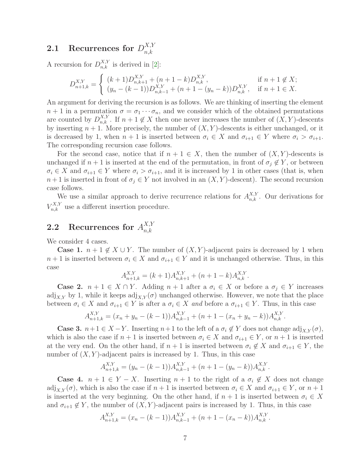#### 2.1 Recurrences for  $D_{n,k}^{X,Y}$  $_{n,k}$

A recursion for  $D_{n,k}^{X,Y}$  is derived in [\[2\]](#page-17-0):

$$
D_{n+1,k}^{X,Y} = \begin{cases} (k+1)D_{n,k+1}^{X,Y} + (n+1-k)D_{n,k}^{X,Y}, & \text{if } n+1 \notin X; \\ (y_n - (k-1))D_{n,k-1}^{X,Y} + (n+1 - (y_n - k))D_{n,k}^{X,Y}, & \text{if } n+1 \in X. \end{cases}
$$

An argument for deriving the recursion is as follows. We are thinking of inserting the element  $n+1$  in a permutation  $\sigma = \sigma_1 \cdots \sigma_n$ , and we consider which of the obtained permutations are counted by  $D_{n,k}^{X,Y}$ . If  $n+1 \notin X$  then one never increases the number of  $(X,Y)$ -descents by inserting  $n + 1$ . More precisely, the number of  $(X, Y)$ -descents is either unchanged, or it is decreased by 1, when  $n + 1$  is inserted between  $\sigma_i \in X$  and  $\sigma_{i+1} \in Y$  where  $\sigma_i > \sigma_{i+1}$ . The corresponding recursion case follows.

For the second case, notice that if  $n + 1 \in X$ , then the number of  $(X, Y)$ -descents is unchanged if  $n + 1$  is inserted at the end of the permutation, in front of  $\sigma_j \notin Y$ , or between  $\sigma_i \in X$  and  $\sigma_{i+1} \in Y$  where  $\sigma_i > \sigma_{i+1}$ , and it is increased by 1 in other cases (that is, when  $n+1$  is inserted in front of  $\sigma_j \in Y$  not involved in an  $(X, Y)$ -descent). The second recursion case follows.

We use a similar approach to derive recurrence relations for  $A^{X,Y}_{n,k}$ . Our derivations for  $V_{n,k}^{X,Y}$  use a different insertion procedure.

#### 2.2 Recurrences for  $A_{n,k}^{X,Y}$  $n,k$

We consider 4 cases.

**Case 1.**  $n + 1 \notin X \cup Y$ . The number of  $(X, Y)$ -adjacent pairs is decreased by 1 when  $n+1$  is inserted between  $\sigma_i \in X$  and  $\sigma_{i+1} \in Y$  and it is unchanged otherwise. Thus, in this case

$$
A_{n+1,k}^{X,Y} = (k+1)A_{n,k+1}^{X,Y} + (n+1-k)A_{n,k}^{X,Y}.
$$

**Case 2.**  $n + 1 \in X \cap Y$ . Adding  $n + 1$  after a  $\sigma_i \in X$  or before a  $\sigma_j \in Y$  increases adj<sub>X,Y</sub> by 1, while it keeps adj<sub>X,Y</sub> $(\sigma)$  unchanged otherwise. However, we note that the place between  $\sigma_i \in X$  and  $\sigma_{i+1} \in Y$  is after a  $\sigma_i \in X$  and before a  $\sigma_{i+1} \in Y$ . Thus, in this case

$$
A_{n+1,k}^{X,Y} = (x_n + y_n - (k-1))A_{n,k-1}^{X,Y} + (n+1 - (x_n + y_n - k))A_{n,k}^{X,Y}.
$$

**Case 3.**  $n+1 \in X-Y$ . Inserting  $n+1$  to the left of a  $\sigma_i \notin Y$  does not change  $\text{adj}_{XY}(\sigma)$ , which is also the case if  $n + 1$  is inserted between  $\sigma_i \in X$  and  $\sigma_{i+1} \in Y$ , or  $n + 1$  is inserted at the very end. On the other hand, if  $n + 1$  is inserted between  $\sigma_i \notin X$  and  $\sigma_{i+1} \in Y$ , the number of  $(X, Y)$ -adjacent pairs is increased by 1. Thus, in this case

$$
A_{n+1,k}^{X,Y} = (y_n - (k-1))A_{n,k-1}^{X,Y} + (n+1 - (y_n - k))A_{n,k}^{X,Y}.
$$

**Case 4.**  $n + 1 \in Y - X$ . Inserting  $n + 1$  to the right of a  $\sigma_i \notin X$  does not change adj<sub>X,Y</sub>( $\sigma$ ), which is also the case if  $n + 1$  is inserted between  $\sigma_i \in X$  and  $\sigma_{i+1} \in Y$ , or  $n + 1$ is inserted at the very beginning. On the other hand, if  $n + 1$  is inserted between  $\sigma_i \in X$ and  $\sigma_{i+1} \notin Y$ , the number of  $(X, Y)$ -adjacent pairs is increased by 1. Thus, in this case

$$
A_{n+1,k}^{X,Y} = (x_n - (k-1))A_{n,k-1}^{X,Y} + (n+1 - (x_n - k))A_{n,k}^{X,Y}.
$$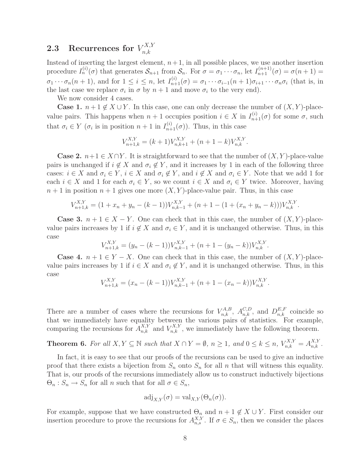#### <span id="page-7-0"></span>2.3 Recurrences for  $V_{n,k}^{X,Y}$  $n,k$

Instead of inserting the largest element,  $n+1$ , in all possible places, we use another insertion procedure  $I_n^{(i)}(\sigma)$  that generates  $S_{n+1}$  from  $S_n$ . For  $\sigma = \sigma_1 \cdots \sigma_n$ , let  $I_{n+1}^{(n+1)}(\sigma) = \sigma(n+1)$  $\sigma_1 \cdots \sigma_n (n+1)$ , and for  $1 \leq i \leq n$ , let  $I_{n+1}^{(i)}(\sigma) = \sigma_1 \cdots \sigma_{i-1} (n+1) \sigma_{i+1} \cdots \sigma_n \sigma_i$  (that is, in the last case we replace  $\sigma_i$  in  $\sigma$  by  $n+1$  and move  $\sigma_i$  to the very end).

We now consider 4 cases.

**Case 1.**  $n+1 \notin X \cup Y$ . In this case, one can only decrease the number of  $(X, Y)$ -placevalue pairs. This happens when  $n+1$  occupies position  $i \in X$  in  $I_{n+1}^{(i)}(\sigma)$  for some  $\sigma$ , such that  $\sigma_i \in Y$  ( $\sigma_i$  is in position  $n+1$  in  $I_{n+1}^{(i)}(\sigma)$ ). Thus, in this case

$$
V_{n+1,k}^{X,Y} = (k+1)V_{n,k+1}^{X,Y} + (n+1-k)V_{n,k}^{X,Y}.
$$

**Case 2.**  $n+1 \in X \cap Y$ . It is straightforward to see that the number of  $(X, Y)$ -place-value pairs is unchanged if  $i \notin X$  and  $\sigma_i \notin Y$ , and it increases by 1 in each of the following three cases:  $i \in X$  and  $\sigma_i \in Y$ ,  $i \in X$  and  $\sigma_i \notin Y$ , and  $i \notin X$  and  $\sigma_i \in Y$ . Note that we add 1 for each  $i \in X$  and 1 for each  $\sigma_i \in Y$ , so we count  $i \in X$  and  $\sigma_i \in Y$  twice. Moreover, having  $n+1$  in position  $n+1$  gives one more  $(X, Y)$ -place-value pair. Thus, in this case

$$
V_{n+1,k}^{X,Y} = (1 + x_n + y_n - (k-1))V_{n,k-1}^{X,Y} + (n+1 - (1 + (x_n + y_n - k)))V_{n,k}^{X,Y}.
$$

**Case 3.**  $n + 1 \in X - Y$ . One can check that in this case, the number of  $(X, Y)$ -placevalue pairs increases by 1 if  $i \notin X$  and  $\sigma_i \in Y$ , and it is unchanged otherwise. Thus, in this case

$$
V_{n+1,k}^{X,Y} = (y_n - (k-1))V_{n,k-1}^{X,Y} + (n+1 - (y_n - k))V_{n,k}^{X,Y}.
$$

**Case 4.**  $n + 1 \in Y - X$ . One can check that in this case, the number of  $(X, Y)$ -placevalue pairs increases by 1 if  $i \in X$  and  $\sigma_i \notin Y$ , and it is unchanged otherwise. Thus, in this case

$$
V_{n+1,k}^{X,Y} = (x_n - (k-1))V_{n,k-1}^{X,Y} + (n+1 - (x_n - k))V_{n,k}^{X,Y}.
$$

There are a number of cases where the recursions for  $V_{n,k}^{A,B}$ ,  $A_{n,k}^{C,D}$ , and  $D_{n,k}^{E,F}$  coincide so that we immediately have equality between the various pairs of statistics. For example, comparing the recursions for  $A_{n,k}^{X,Y}$  and  $V_{n,k}^{X,Y}$ , we immediately have the following theorem.

<span id="page-7-1"></span>**Theorem 6.** For all  $X, Y \subseteq \mathbb{N}$  such that  $X \cap Y = \emptyset$ ,  $n \ge 1$ , and  $0 \le k \le n$ ,  $V_{n,k}^{X,Y} = A_{n,k}^{X,Y}$ .

In fact, it is easy to see that our proofs of the recursions can be used to give an inductive proof that there exists a bijection from  $S_n$  onto  $S_n$  for all n that will witness this equality. That is, our proofs of the recursions immediately allow us to construct inductively bijections  $\Theta_n : S_n \to S_n$  for all n such that for all  $\sigma \in S_n$ ,

$$
\mathrm{adj}_{X,Y}(\sigma) = \mathrm{val}_{X,Y}(\Theta_n(\sigma)).
$$

For example, suppose that we have constructed  $\Theta_n$  and  $n+1 \notin X \cup Y$ . First consider our insertion procedure to prove the recursions for  $A_{n,s}^{X,Y}$ . If  $\sigma \in S_n$ , then we consider the places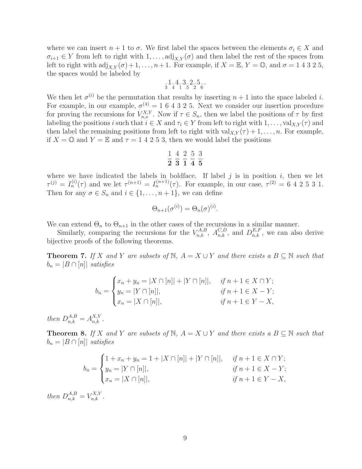where we can insert  $n + 1$  to  $\sigma$ . We first label the spaces between the elements  $\sigma_i \in X$  and  $\sigma_{i+1} \in Y$  from left to right with  $1, \ldots$ , adj<sub>X,Y</sub>( $\sigma$ ) and then label the rest of the spaces from left to right with  $\text{adj}_{X,Y}(\sigma) + 1, \ldots, n+1$ . For example, if  $X = \mathbb{E}, Y = \mathbb{O}$ , and  $\sigma = 1, 4, 3, 2, 5$ , the spaces would be labeled by

$$
\tfrac{-1}{3} \tfrac{4}{4} \tfrac{-3}{1} \tfrac{2}{5} \tfrac{2}{2} \tfrac{5}{6}.
$$

We then let  $\sigma^{(i)}$  be the permutation that results by inserting  $n+1$  into the space labeled i. For example, in our example,  $\sigma^{(4)} = 164325$ . Next we consider our insertion procedure for proving the recursions for  $V_{n,s}^{X,Y}$ . Now if  $\tau \in S_n$ , then we label the positions of  $\tau$  by first labeling the positions i such that  $i \in X$  and  $\tau_i \in Y$  from left to right with  $1, \ldots$ , val $_{X,Y}(\tau)$  and then label the remaining positions from left to right with  $val_{XY}(\tau) + 1, \ldots, n$ . For example, if  $X = \mathbb{O}$  and  $Y = \mathbb{E}$  and  $\tau = 1$  4 2 5 3, then we would label the positions

$$
\frac{1}{2} \frac{4}{3} \frac{2}{1} \frac{5}{4} \frac{3}{5}
$$

where we have indicated the labels in boldface. If label  $j$  is in position  $i$ , then we let  $\tau^{(j)} = I_n^{(i)}(\tau)$  and we let  $\tau^{(n+1)} = I_n^{(n+1)}(\tau)$ . For example, in our case,  $\tau^{(2)} = 642531$ . Then for any  $\sigma \in S_n$  and  $i \in \{1, ..., n+1\}$ , we can define

$$
\Theta_{n+1}(\sigma^{(i)}) = \Theta_n(\sigma)^{(i)}.
$$

We can extend  $\Theta_n$  to  $\Theta_{n+1}$  in the other cases of the recursions in a similar manner.

<span id="page-8-1"></span>Similarly, comparing the recursions for the  $V_{n,k}^{A,B}$ ,  $A_{n,k}^{C,D}$ , and  $D_{n,k}^{E,F}$ , we can also derive bijective proofs of the following theorems.

**Theorem 7.** If X and Y are subsets of  $\mathbb{N}$ ,  $A = X \cup Y$  and there exists a  $B \subseteq \mathbb{N}$  such that  $b_n = |B \cap [n]|$  satisfies

$$
b_n = \begin{cases} x_n + y_n = |X \cap [n]| + |Y \cap [n]|, & \text{if } n+1 \in X \cap Y; \\ y_n = |Y \cap [n]|, & \text{if } n+1 \in X - Y; \\ x_n = |X \cap [n]|, & \text{if } n+1 \in Y - X, \end{cases}
$$

then  $D_{n,k}^{A,B} = A_{n,k}^{X,Y}$ .

<span id="page-8-0"></span>**Theorem 8.** If X and Y are subsets of N,  $A = X \cup Y$  and there exists a  $B \subseteq N$  such that  $b_n = |B \cap [n]|$  satisfies

$$
b_n = \begin{cases} 1 + x_n + y_n = 1 + |X \cap [n]| + |Y \cap [n]|, & \text{if } n+1 \in X \cap Y; \\ y_n = |Y \cap [n]|, & \text{if } n+1 \in X - Y; \\ x_n = |X \cap [n]|, & \text{if } n+1 \in Y - X, \end{cases}
$$

then  $D_{n,k}^{A,B} = V_{n,k}^{X,Y}$ .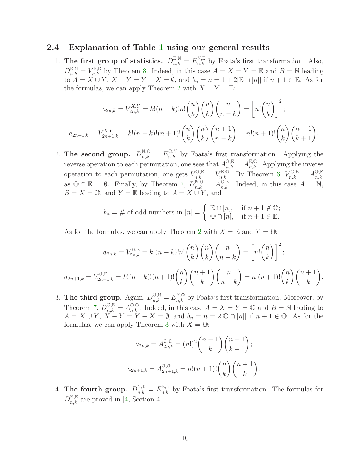### 2.4 Explanation of Table [1](#page-3-0) using our general results

1. The first group of statistics.  $D_{n,k}^{\mathbb{E},\mathbb{N}} = E_{n,k}^{\mathbb{N},\mathbb{E}}$  by Foata's first transformation. Also,  $D_{n,k}^{\mathbb{E},\mathbb{N}}=V_{n,k}^{\mathbb{E},\mathbb{E}}$  by Theorem [8.](#page-8-0) Indeed, in this case  $A=X=Y=\mathbb{E}$  and  $B=\mathbb{N}$  leading  $t_0, t_n, k \in \mathbb{Z}^n,$   $X - Y = Y - X = \emptyset$ , and  $b_n = n = 1 + 2|\mathbb{E} \cap [n]|$  if  $n + 1 \in \mathbb{E}$ . As for the formulas, we can apply Theorem [2](#page-2-0) with  $X = Y = \mathbb{E}$ :

$$
a_{2n,k} = V_{2n,k}^{X,Y} = k!(n-k)!n! \binom{n}{k} \binom{n}{k} \binom{n}{n-k} = \left[ n! \binom{n}{k} \right]^2;
$$
  

$$
a_{2n+1,k} = V_{2n+1,k}^{X,Y} = k!(n-k)!(n+1)! \binom{n}{k} \binom{n}{k} \binom{n+1}{n-k} = n!(n+1)! \binom{n}{k} \binom{n+1}{k+1}.
$$

2. The second group.  $D_{n,k}^{\mathbb{N},\mathbb{O}} = E_{n,k}^{\mathbb{O},\mathbb{N}}$  by Foata's first transformation. Applying the reverse operation to each permutation, one sees that  $A_{n,k}^{\mathbb{O},\mathbb{E}} = A_{n,k}^{\mathbb{E},\mathbb{O}}$ . Applying the inverse operation to each permutation, one gets  $V_{n,k}^{\mathbb{O},\mathbb{E}} = V_{n,k}^{\mathbb{E},\mathbb{O}}$ . By Theorem [6,](#page-7-1)  $V_{n,k}^{\mathbb{O},\mathbb{E}} = A_{n,k}^{\mathbb{O},\mathbb{E}}$  $_{n,k}$ as  $\mathbb{O} \cap \mathbb{E} = \emptyset$ . Finally, by Theorem [7,](#page-8-1)  $D_{n,k}^{\mathbb{N},\mathbb{O}} = A_{n,k}^{\mathbb{O},\mathbb{E}}$ . Indeed, in this case  $A = \mathbb{N}$ ,  $B = X = \mathbb{O}$ , and  $Y = \mathbb{E}$  leading to  $A = X \cup Y$ , and

$$
b_n = \# \text{ of odd numbers in } [n] = \left\{ \begin{array}{ll} \mathbb{E} \cap [n], & \text{if } n+1 \notin \mathbb{O}; \\ \mathbb{O} \cap [n], & \text{if } n+1 \in \mathbb{E}. \end{array} \right.
$$

As for the formulas, we can apply Theorem [2](#page-2-0) with  $X = \mathbb{E}$  and  $Y = \mathbb{O}$ :

$$
a_{2n,k} = V_{2n,k}^{\mathbb{O}, \mathbb{E}} = k!(n-k)!n! \binom{n}{k} \binom{n}{k} \binom{n}{n-k} = \left[ n! \binom{n}{k} \right]^2;
$$
  

$$
a_{2n+1,k} = V_{2n+1,k}^{\mathbb{O}, \mathbb{E}} = k!(n-k)!(n+1)! \binom{n}{k} \binom{n+1}{k} \binom{n}{n-k} = n!(n+1)! \binom{n}{k} \binom{n+1}{k}.
$$

3. The third group. Again,  $D_{n,k}^{\mathbb{O},\mathbb{N}} = E_{n,k}^{\mathbb{N},\mathbb{O}}$  by Foata's first transformation. Moreover, by Theorem [7,](#page-8-1)  $D_{n,k}^{\mathbb{O},\mathbb{N}} = A_{n,k}^{\mathbb{O},\mathbb{O}}$ . Indeed, in this case  $A = X = Y = \mathbb{O}$  and  $B = \mathbb{N}$  leading to  $A = X \cup Y, X - Y = Y - X = \emptyset$ , and  $b_n = n = 2[\mathbb{O} \cap [n]]$  if  $n + 1 \in \mathbb{O}$ . As for the formulas, we can apply Theorem [3](#page-2-1) with  $X = \mathbb{O}$ :

$$
a_{2n,k} = A_{2n,k}^{\mathbb{O},\mathbb{O}} = (n!)^2 \binom{n-1}{k} \binom{n+1}{k+1};
$$
  

$$
a_{2n+1,k} = A_{2n+1,k}^{\mathbb{O},\mathbb{O}} = n!(n+1)! \binom{n}{k} \binom{n+1}{k}.
$$

4. The fourth group.  $D_{n,k}^{\mathbb{N},\mathbb{E}} = E_{n,k}^{\mathbb{E},\mathbb{N}}$  by Foata's first transformation. The formulas for  $D_{n,k}^{\mathbb{N},\mathbb{E}}$  are proved in [\[4,](#page-17-2) Section 4].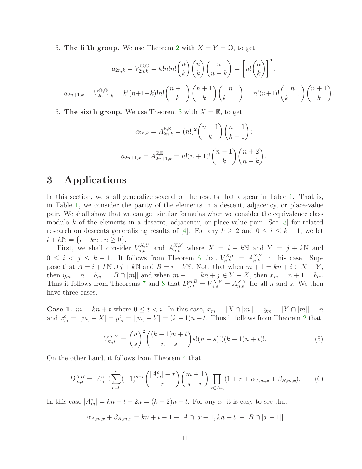5. The fifth group. We use Theorem [2](#page-2-0) with  $X = Y = \mathbb{O}$ , to get

$$
a_{2n,k} = V_{2n,k}^{\mathbb{O},\mathbb{O}} = k!n!n! \binom{n}{k} \binom{n}{k} \binom{n}{n-k} = \left[ n! \binom{n}{k} \right]^2;
$$
  

$$
a_{2n+1,k} = V_{2n+1,k}^{\mathbb{O},\mathbb{O}} = k! (n+1-k)!n! \binom{n+1}{k} \binom{n+1}{k} \binom{n}{k-1} = n! (n+1)! \binom{n}{k-1} \binom{n+1}{k}.
$$

6. The sixth group. We use Theorem [3](#page-2-1) with  $X = \mathbb{E}$ , to get

$$
a_{2n,k} = A_{2n,k}^{\mathbb{E},\mathbb{E}} = (n!)^2 \binom{n-1}{k} \binom{n+1}{k+1};
$$
  

$$
a_{2n+1,k} = A_{2n+1,k}^{\mathbb{E},\mathbb{E}} = n!(n+1)! \binom{n-1}{k} \binom{n+2}{n-k}.
$$

# <span id="page-10-0"></span>3 Applications

In this section, we shall generalize several of the results that appear in Table [1.](#page-3-0) That is, in Table [1,](#page-3-0) we consider the parity of the elements in a descent, adjacency, or place-value pair. We shall show that we can get similar formulas when we consider the equivalence class modulo k of the elements in a descent, adjacency, or place-value pair. See  $[3]$  for related research on descents generalizing results of [\[4\]](#page-17-2). For any  $k \geq 2$  and  $0 \leq i \leq k-1$ , we let  $i + kN = \{i + kn : n \geq 0\}.$ 

First, we shall consider  $V_{n,k}^{X,Y}$  and  $A_{n,k}^{X,Y}$  where  $X = i + kN$  and  $Y = j + kN$  and  $0 \leq i \leq j \leq k-1$ . It follows from Theorem [6](#page-7-1) that  $V_{n,k}^{X,Y} = A_{n,k}^{X,Y}$  in this case. Suppose that  $A = i + k \mathbb{N} \cup j + k \mathbb{N}$  and  $B = i + k \mathbb{N}$ . Note that when  $m + 1 = kn + i \in X - Y$ , then  $y_m = n = b_m = |B \cap [m]|$  and when  $m + 1 = kn + j \in Y - X$ , then  $x_m = n + 1 = b_m$ . Thus it follows from Theorems [7](#page-8-1) and [8](#page-8-0) that  $D_{n,k}^{A,B} = V_{n,s}^{X,Y} = A_{n,s}^{X,Y}$  for all n and s. We then have three cases.

**Case 1.**  $m = kn + t$  where  $0 \le t < i$ . In this case,  $x_m = |X \cap [m]| = y_m = |Y \cap [m]| = n$ and  $x_m^c = |[m] - X| = y_m^c = |[m] - Y| = (k-1)n + t$ . Thus it follows from Theorem [2](#page-2-0) that

<span id="page-10-1"></span>
$$
V_{m,s}^{X,Y} = \binom{n}{s}^2 \binom{(k-1)n+t}{n-s} s!(n-s)!((k-1)n+t)!.
$$
 (5)

On the other hand, it follows from Theorem [4](#page-4-2) that

$$
D_{m,s}^{A,B} = |A_m^c|! \sum_{r=0}^s (-1)^{s-r} \binom{|A_m^c|+r}{r} \binom{m+1}{s-r} \prod_{x \in A_m} (1+r+\alpha_{A,m,x} + \beta_{B,m,x}). \tag{6}
$$

In this case  $|A_m^c| = kn + t - 2n = (k-2)n + t$ . For any x, it is easy to see that

$$
\alpha_{A,m,x} + \beta_{B,m,x} = kn + t - 1 - |A \cap [x+1, kn + t] - |B \cap [x-1]|
$$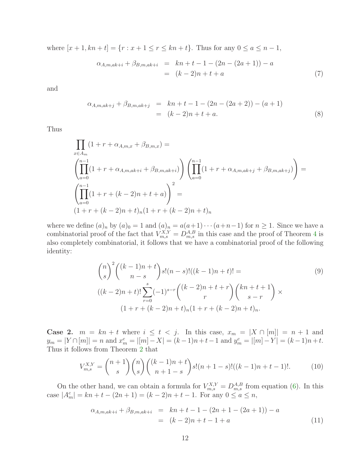where  $[x + 1, kn + t] = \{r : x + 1 \le r \le kn + t\}$ . Thus for any  $0 \le a \le n - 1$ ,

$$
\alpha_{A,m,ak+i} + \beta_{B,m,ak+i} = kn + t - 1 - (2n - (2a + 1)) - a
$$
  
=  $(k - 2)n + t + a$  (7)

and

$$
\alpha_{A,m,ak+j} + \beta_{B,m,ak+j} = kn+t-1-(2n-(2a+2))-(a+1) = (k-2)n+t+a.
$$
\n(8)

Thus

$$
\prod_{x \in A_m} (1 + r + \alpha_{A,m,x} + \beta_{B,m,x}) =
$$
\n
$$
\left( \prod_{a=0}^{n-1} (1 + r + \alpha_{A,m,ak+i} + \beta_{B,m,ak+i}) \right) \left( \prod_{a=0}^{n-1} (1 + r + \alpha_{A,m,ak+j} + \beta_{B,m,ak+j}) \right) =
$$
\n
$$
\left( \prod_{a=0}^{n-1} (1 + r + (k-2)n + t + a) \right)^2 =
$$
\n
$$
(1 + r + (k-2)n + t)_n (1 + r + (k-2)n + t)_n
$$

where we define  $(a)_n$  by  $(a)_0 = 1$  and  $(a)_n = a(a+1)\cdots(a+n-1)$  for  $n \ge 1$ . Since we have a combinatorial proof of the fact that  $V_{m,s}^{X,Y} = D_{m,s}^{A,B}$  in this case and the proof of Theorem [4](#page-4-2) is also completely combinatorial, it follows that we have a combinatorial proof of the following identity:

$$
{\binom{n}{s}}^2 {\binom{(k-1)n+t}{n-s}} s! (n-s)! ((k-1)n+t)! =
$$
\n
$$
((k-2)n+t)! \sum_{r=0}^s (-1)^{s-r} {\binom{(k-2)n+t+r}{r}} {\binom{kn+t+1}{s-r}} \times
$$
\n
$$
(1+r+(k-2)n+t)_n (1+r+(k-2)n+t)_n.
$$
\n(9)

**Case 2.**  $m = kn + t$  where  $i \leq t < j$ . In this case,  $x_m = |X \cap [m]| = n + 1$  and  $y_m = |Y \cap [m]| = n$  and  $x_m^c = |[m] - X| = (k-1)n + t-1$  and  $y_m^c = |[m] - Y| = (k-1)n + t$ . Thus it follows from Theorem [2](#page-2-0) that

$$
V_{m,s}^{X,Y} = \binom{n+1}{s} \binom{n}{s} \binom{(k-1)n+t}{n+1-s} s!(n+1-s)!((k-1)n+t-1)!.
$$
 (10)

On the other hand, we can obtain a formula for  $V_{m,s}^{X,Y} = D_{m,s}^{A,B}$  from equation [\(6\)](#page-10-1). In this case  $|A_m^c| = kn + t - (2n + 1) = (k - 2)n + t - 1$ . For any  $0 \le a \le n$ ,

$$
\alpha_{A,m,ak+i} + \beta_{B,m,ak+i} = kn+t-1-(2n+1-(2a+1))-a
$$
  
=  $(k-2)n+t-1+a$  (11)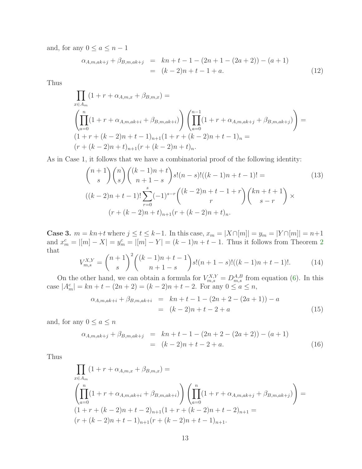and, for any  $0 \le a \le n-1$ 

$$
\alpha_{A,m,ak+j} + \beta_{B,m,ak+j} = kn+t-1-(2n+1-(2a+2)) - (a+1)
$$
  
=  $(k-2)n+t-1+a.$  (12)

Thus

$$
\prod_{x \in A_m} (1 + r + \alpha_{A,m,x} + \beta_{B,m,x}) =
$$
\n
$$
\left( \prod_{a=0}^n (1 + r + \alpha_{A,m,ak+i} + \beta_{B,m,ak+i}) \right) \left( \prod_{a=0}^{n-1} (1 + r + \alpha_{A,m,ak+j} + \beta_{B,m,ak+j}) \right) =
$$
\n
$$
(1 + r + (k - 2)n + t - 1)_{n+1} (1 + r + (k - 2)n + t - 1)_n =
$$
\n
$$
(r + (k - 2)n + t)_{n+1} (r + (k - 2)n + t)_n.
$$

As in Case 1, it follows that we have a combinatorial proof of the following identity:

$$
\binom{n+1}{s}\binom{n}{s}\binom{(k-1)n+t}{n+1-s}s!(n-s)!((k-1)n+t-1)! =
$$
\n
$$
((k-2)n+t-1)!\sum_{r=0}^{s}(-1)^{s-r}\binom{(k-2)n+t-1+r}{r}\binom{kn+t+1}{s-r} \times
$$
\n
$$
(r+(k-2)n+t)_{n+1}(r+(k-2)n+t)_{n}.
$$
\n(13)

**Case 3.**  $m = kn+t$  where  $j \le t \le k-1$ . In this case,  $x_m = |X \cap [m]| = y_m = |Y \cap [m]| = n+1$ and  $x_m^c = |[m] - X| = y_m^c = |[m] - Y| = (k-1)n + t - 1$ . Thus it follows from Theorem [2](#page-2-0) that

$$
V_{m,s}^{X,Y} = \binom{n+1}{s}^2 \binom{(k-1)n+t-1}{n+1-s} s!(n+1-s)!((k-1)n+t-1)!.
$$
 (14)

On the other hand, we can obtain a formula for  $V_{m,s}^{X,Y} = D_{m,s}^{A,B}$  from equation [\(6\)](#page-10-1). In this case  $|A_m^c| = kn + t - (2n + 2) = (k - 2)n + t - 2$ . For any  $0 \le a \le n$ ,

$$
\alpha_{A,m,ak+i} + \beta_{B,m,ak+i} = kn + t - 1 - (2n + 2 - (2a + 1)) - a
$$
  
=  $(k - 2)n + t - 2 + a$  (15)

and, for any  $0 \le a \le n$ 

$$
\alpha_{A,m,ak+j} + \beta_{B,m,ak+j} = kn+t-1-(2n+2-(2a+2)) - (a+1)
$$
  
=  $(k-2)n+t-2+a.$  (16)

Thus

$$
\prod_{x \in A_m} (1 + r + \alpha_{A,m,x} + \beta_{B,m,x}) =
$$
\n
$$
\left( \prod_{a=0}^n (1 + r + \alpha_{A,m,ak+i} + \beta_{B,m,ak+i}) \right) \left( \prod_{a=0}^n (1 + r + \alpha_{A,m,ak+j} + \beta_{B,m,ak+j}) \right) =
$$
\n
$$
(1 + r + (k - 2)n + t - 2)_{n+1} (1 + r + (k - 2)n + t - 2)_{n+1} =
$$
\n
$$
(r + (k - 2)n + t - 1)_{n+1} (r + (k - 2)n + t - 1)_{n+1}.
$$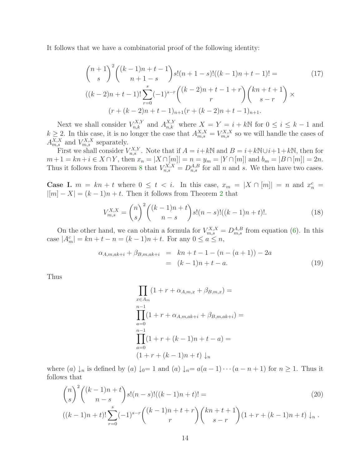It follows that we have a combinatorial proof of the following identity:

$$
{\binom{n+1}{s}}^2 {\binom{(k-1)n+t-1}{n+1-s}} s! (n+1-s)! ((k-1)n+t-1)! =
$$
\n
$$
((k-2)n+t-1)! \sum_{r=0}^s (-1)^{s-r} {\binom{(k-2)n+t-1+r}{r}} {\binom{kn+t+1}{s-r}} \times
$$
\n
$$
(r+(k-2)n+t-1)_{n+1}(r+(k-2)n+t-1)_{n+1}.
$$
\n(17)

Next we shall consider  $V_{n,k}^{X,Y}$  and  $A_{n,k}^{X,Y}$  where  $X = Y = i + kN$  for  $0 \le i \le k - 1$  and  $k \geq 2$ . In this case, it is no longer the case that  $A_{m,s}^{X,X} = V_{m,s}^{X,X}$  so we will handle the cases of  $A_{m,s}^{X,X}$  and  $V_{m,s}^{X,X}$  separately.

First we shall consider  $V_{n,s}^{X,Y}$ . Note that if  $A = i + k\mathbb{N}$  and  $B = i + k\mathbb{N} \cup i + 1 + k\mathbb{N}$ , then for  $m+1 = kn+i \in X \cap Y$ , then  $x_n = |X \cap [m]| = n = y_m = |Y \cap [m]|$  and  $b_m = |B \cap [m]| = 2n$ . Thus it follows from Theorem [8](#page-8-0) that  $V_{n,s}^{X,X} = D_{n,s}^{A,B}$  for all n and s. We then have two cases.

Case I.  $m = kn + t$  where  $0 \le t < i$ . In this case,  $x_m = |X \cap [m]| = n$  and  $x_n^c =$  $|[m] - X| = (k-1)n + t$ . Then it follows from Theorem [2](#page-2-0) that

$$
V_{m,s}^{X,X} = \binom{n}{s}^2 \binom{(k-1)n+t}{n-s} s!(n-s)!((k-1)n+t)!.
$$
 (18)

On the other hand, we can obtain a formula for  $V_{m,s}^{X,X} = D_{m,s}^{A,B}$  from equation [\(6\)](#page-10-1). In this case  $|A_m^c| = kn + t - n = (k - 1)n + t$ . For any  $0 \le a \le n$ ,

$$
\alpha_{A,m,ak+i} + \beta_{B,m,ak+i} = kn+t-1-(n-(a+1))-2a
$$
  
=  $(k-1)n+t-a.$  (19)

Thus

$$
\prod_{x \in A_m} (1 + r + \alpha_{A,m,x} + \beta_{B,m,x}) =
$$
\n
$$
\prod_{a=0}^{n-1} (1 + r + \alpha_{A,m,ak+i} + \beta_{B,m,ak+i}) =
$$
\n
$$
\prod_{a=0}^{n-1} (1 + r + (k-1)n + t - a) =
$$
\n
$$
(1 + r + (k-1)n + t) \downarrow_n
$$

where (a)  $\downarrow_n$  is defined by (a)  $\downarrow_0=1$  and (a)  $\downarrow_n=a(a-1)\cdots(a-n+1)$  for  $n\geq 1$ . Thus it follows that

$$
{\binom{n}{s}}^2 {\binom{(k-1)n+t}{n-s}} s!(n-s)!((k-1)n+t)! =
$$
\n
$$
((k-1)n+t)! \sum_{r=0}^s (-1)^{s-r} {\binom{(k-1)n+t+r}{r}} {\binom{kn+t+1}{s-r}} (1+r+(k-1)n+t) \downarrow_n.
$$
\n(20)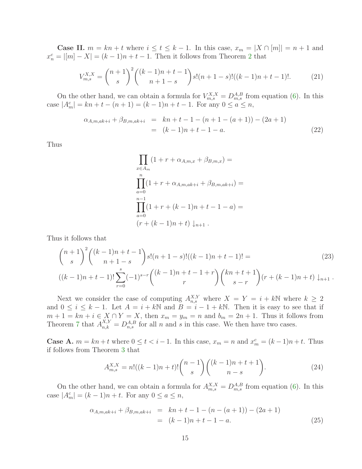**Case II.**  $m = kn + t$  where  $i \le t \le k - 1$ . In this case,  $x_m = |X \cap [m]| = n + 1$  and  $x_n^c = |[m] - X| = (k-1)n + t - 1$ . Then it follows from Theorem [2](#page-2-0) that

$$
V_{m,s}^{X,X} = \binom{n+1}{s}^2 \binom{(k-1)n+t-1}{n+1-s} s!(n+1-s)!((k-1)n+t-1)!.
$$
 (21)

On the other hand, we can obtain a formula for  $V_{m,s}^{X,X} = D_{m,s}^{A,B}$  from equation [\(6\)](#page-10-1). In this case  $|A_m^c| = kn + t - (n + 1) = (k - 1)n + t - 1$ . For any  $0 \le a \le n$ ,

$$
\alpha_{A,m,ak+i} + \beta_{B,m,ak+i} = kn + t - 1 - (n + 1 - (a + 1)) - (2a + 1)
$$
  
=  $(k - 1)n + t - 1 - a.$  (22)

Thus

$$
\prod_{x \in A_m} (1 + r + \alpha_{A,m,x} + \beta_{B,m,x}) =
$$
\n
$$
\prod_{a=0}^{n} (1 + r + \alpha_{A,m,ak+i} + \beta_{B,m,ak+i}) =
$$
\n
$$
\prod_{a=0}^{n-1} (1 + r + (k - 1)n + t - 1 - a) =
$$
\n
$$
(r + (k - 1)n + t) \downarrow_{n+1} .
$$

Thus it follows that

$$
{\binom{n+1}{s}}^2 {\binom{(k-1)n+t-1}{n+1-s}} s! (n+1-s)! ((k-1)n+t-1)! =
$$
\n
$$
((k-1)n+t-1)! \sum_{r=0}^s (-1)^{s-r} {\binom{(k-1)n+t-1+r}{r}} {\binom{kn+t+1}{s-r}} (r+(k-1)n+t) \downarrow_{n+1}.
$$
\n(23)

Next we consider the case of computing  $A_{n,s}^{X,Y}$  where  $X = Y = i + kN$  where  $k \geq 2$ and  $0 \le i \le k-1$ . Let  $A = i + k\mathbb{N}$  and  $B = i - 1 + k\mathbb{N}$ . Then it is easy to see that if  $m + 1 = kn + i \in X \cap Y = X$ , then  $x_m = y_m = n$  and  $b_m = 2n + 1$ . Thus it follows from Theorem [7](#page-8-1) that  $A_{n,k}^{X,Y} = D_{n,s}^{A,B}$  for all n and s in this case. We then have two cases.

**Case A.**  $m = kn + t$  where  $0 \le t < i - 1$ . In this case,  $x_m = n$  and  $x_m^c = (k - 1)n + t$ . Thus if follows from Theorem [3](#page-2-1) that

$$
A_{m,s}^{X,X} = n!((k-1)n+t)! \binom{n-1}{s} \binom{(k-1)n+t+1}{n-s}.
$$
 (24)

On the other hand, we can obtain a formula for  $A_{m,s}^{X,X} = D_{m,s}^{A,B}$  from equation [\(6\)](#page-10-1). In this case  $|A_m^c| = (k-1)n + t$ . For any  $0 \le a \le n$ ,

$$
\alpha_{A,m,ak+i} + \beta_{B,m,ak+i} = kn + t - 1 - (n - (a + 1)) - (2a + 1)
$$
  
=  $(k - 1)n + t - 1 - a.$  (25)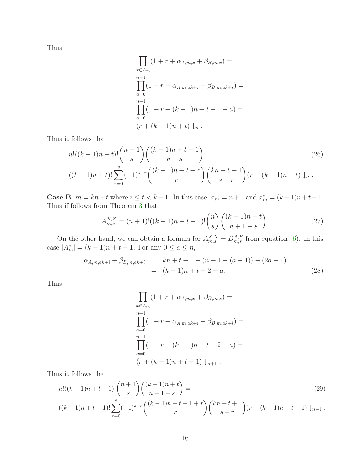Thus

$$
\prod_{x \in A_m} (1 + r + \alpha_{A,m,x} + \beta_{B,m,x}) =
$$
\n
$$
\prod_{a=0}^{n-1} (1 + r + \alpha_{A,m,ak+i} + \beta_{B,m,ak+i}) =
$$
\n
$$
\prod_{a=0}^{n-1} (1 + r + (k - 1)n + t - 1 - a) =
$$
\n
$$
(r + (k - 1)n + t) \downarrow_n.
$$

Thus it follows that

$$
n!((k-1)n+t)!\binom{n-1}{s}\binom{(k-1)n+t+1}{n-s} =
$$
\n
$$
((k-1)n+t)!\sum_{r=0}^{s}(-1)^{s-r}\binom{(k-1)n+t+r}{r}\binom{kn+t+1}{s-r}(r+(k-1)n+t)\downarrow_{n}.
$$
\n(26)

**Case B.**  $m = kn + t$  where  $i \le t < k - 1$ . In this case,  $x_m = n + 1$  and  $x_m^c = (k - 1)n + t - 1$ . Thus if follows from Theorem [3](#page-2-1) that

$$
A_{m,s}^{X,X} = (n+1)!((k-1)n+t-1)! \binom{n}{s} \binom{(k-1)n+t}{n+1-s}.
$$
\n(27)

On the other hand, we can obtain a formula for  $A_{m,s}^{X,X} = D_{m,s}^{A,B}$  from equation [\(6\)](#page-10-1). In this case  $|A_m^c| = (k-1)n + t - 1$ . For any  $0 \le a \le n$ ,

$$
\alpha_{A,m,ak+i} + \beta_{B,m,ak+i} = kn + t - 1 - (n + 1 - (a + 1)) - (2a + 1)
$$
  
=  $(k - 1)n + t - 2 - a.$  (28)

Thus

$$
\prod_{x \in A_m} (1 + r + \alpha_{A,m,x} + \beta_{B,m,x}) =
$$
\n
$$
\prod_{a=0}^{n+1} (1 + r + \alpha_{A,m,ak+i} + \beta_{B,m,ak+i}) =
$$
\n
$$
\prod_{a=0}^{n+1} (1 + r + (k - 1)n + t - 2 - a) =
$$
\n
$$
(r + (k - 1)n + t - 1) \downarrow_{n+1} .
$$

Thus it follows that

$$
n!((k-1)n+t-1)!\binom{n+1}{s}\binom{(k-1)n+t}{n+1-s} =
$$
\n
$$
((k-1)n+t-1)!\sum_{r=0}^{s}(-1)^{s-r}\binom{(k-1)n+t-1+r}{r}\binom{kn+t+1}{s-r}(r+(k-1)n+t-1)\downarrow_{n+1}.
$$
\n(29)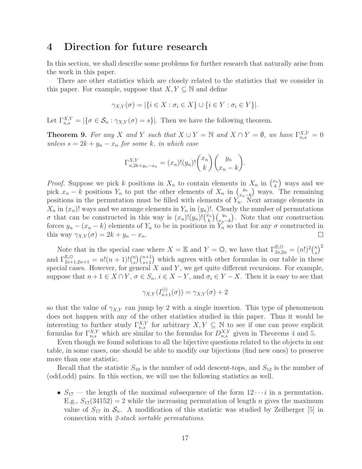### <span id="page-16-0"></span>4 Direction for future research

In this section, we shall describe some problems for further research that naturally arise from the work in this paper.

There are other statistics which are closely related to the statistics that we consider in this paper. For example, suppose that  $X, Y \subseteq \mathbb{N}$  and define

$$
\gamma_{X,Y}(\sigma) = |\{i \in X : \sigma_i \in X\} \cup \{i \in Y : \sigma_i \in Y\}|.
$$

Let  $\Gamma_{n,s}^{X,Y} = |\{\sigma \in \mathcal{S}_n : \gamma_{X,Y}(\sigma) = s\}|$ . Then we have the following theorem.

**Theorem 9.** For any X and Y such that  $X \cup Y = \mathbb{N}$  and  $X \cap Y = \emptyset$ , we have  $\Gamma_{n,s}^{X,Y} = 0$ unless  $s = 2k + y_n - x_n$  for some k, in which case

$$
\Gamma_{n,2k+y_n-x_n}^{X,Y} = (x_n)!(y_n)!\binom{x_n}{k}\binom{y_n}{x_n-k}.
$$

*Proof.* Suppose we pick k positions in  $X_n$  to contain elements in  $X_n$  in  $\binom{x_n}{k}$  $\binom{n}{k}$  ways and we pick  $x_n - k$  positions  $Y_n$  to put the other elements of  $X_n$  in  $\binom{y_n}{x_n - k}$  $\binom{y_n}{x_n-k}$  ways. The remaining positions in the permutation must be filled with elements of  $Y_n$ . Next arrange elements in  $X_n$  in  $(x_n)!$  ways and we arrange elements in  $Y_n$  in  $(y_n)!$ . Clearly the number of permutations  $\sigma$  that can be constructed in this way is  $(x_n)!(y_n)!(x_n)$  $\binom{y_n}{k}\binom{y_n}{x_n-k}$ . Note that our construction forces  $y_n - (x_n - k)$  elements of  $Y_n$  to be in positions in  $Y_n$  so that for any  $\sigma$  constructed in this way  $\gamma_{X,Y}(\sigma) = 2k + y_n - x_n$ .  $\Box$ 

Note that in the special case where  $X = \mathbb{E}$  and  $Y = \mathbb{O}$ , we have that  $\Gamma_{2s,2n}^{\mathbb{E},\mathbb{O}} = (n!)^2 {n \choose s}$  $\binom{n}{s}^2$ and  $\Gamma_{2s+1,2n+1}^{\mathbb{E},\mathbb{O}} = n!(n+1)!\binom{n}{s}$  $s \binom{n+1}{s+1}$  which agrees with other formulas in our table in these special cases. However, for general  $X$  and  $Y$ , we get quite different recursions. For example, suppose that  $n+1 \in X \cap Y$ ,  $\sigma \in S_n$ ,  $i \in X-Y$ , and  $\sigma_i \in Y-X$ . Then it is easy to see that

$$
\gamma_{X,Y}(I_{n+1}^{(i)}(\sigma)) = \gamma_{X,Y}(\sigma) + 2
$$

so that the value of  $\gamma_{X,Y}$  can jump by 2 with a single insertion. This type of phenomenon does not happen with any of the other statistics studied in this paper. Thus it would be interesting to further study  $\Gamma_{n,s}^{X,Y}$  for arbitrary  $X, Y \subseteq \mathbb{N}$  to see if one can prove explicit formulas for  $\Gamma_{n,s}^{X,Y}$  which are similar to the formulas for  $D_{n,s}^{X,Y}$  given in Theorems [4](#page-4-2) and [5.](#page-4-3)

Even though we found solutions to all the bijective questions related to the objects in our table, in some cases, one should be able to modify our bijections (find new ones) to preserve more than one statistic.

Recall that the statistic  $S_{10}$  is the number of odd descent-tops, and  $S_{12}$  is the number of (odd,odd) pairs. In this section, we will use the following statistics as well.

•  $S_{17}$  — the length of the maximal subsequence of the form  $12 \cdots i$  in a permutation. E.g.,  $S_{17}(34152) = 2$  while the increasing permutation of length *n* gives the maximum value of  $S_{17}$  in  $S_n$ . A modification of this statistic was studied by Zeilberger [\[5\]](#page-18-0) in connection with 2-stack sortable permutations.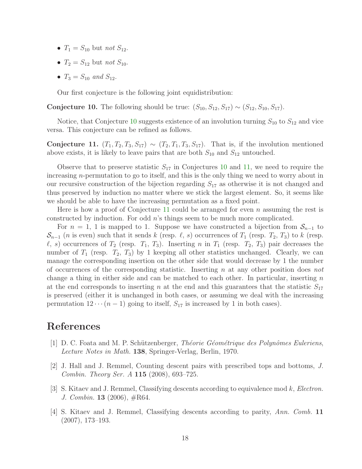- $T_1 = S_{10}$  but not  $S_{12}$ .
- $T_2 = S_{12}$  but not  $S_{10}$ .
- $T_3 = S_{10}$  and  $S_{12}$ .

Our first conjecture is the following joint equidistribution:

<span id="page-17-4"></span>Conjecture 10. The following should be true:  $(S_{10}, S_{12}, S_{17}) \sim (S_{12}, S_{10}, S_{17})$ .

<span id="page-17-5"></span>Notice, that Conjecture [10](#page-17-4) suggests existence of an involution turning  $S_{10}$  to  $S_{12}$  and vice versa. This conjecture can be refined as follows.

Conjecture 11.  $(T_1, T_2, T_3, S_{17}) \sim (T_2, T_1, T_3, S_{17})$ . That is, if the involution mentioned above exists, it is likely to leave pairs that are both  $S_{10}$  and  $S_{12}$  untouched.

Observe that to preserve statistic  $S_{17}$  in Conjectures [10](#page-17-4) and [11,](#page-17-5) we need to require the increasing n-permutation to go to itself, and this is the only thing we need to worry about in our recursive construction of the bijection regarding  $S_{17}$  as otherwise it is not changed and thus preserved by induction no matter where we stick the largest element. So, it seems like we should be able to have the increasing permutation as a fixed point.

Here is how a proof of Conjecture [11](#page-17-5) could be arranged for even n assuming the rest is constructed by induction. For odd  $n$ 's things seem to be much more complicated.

For  $n = 1$ , 1 is mapped to 1. Suppose we have constructed a bijection from  $S_{n-1}$  to  $\mathcal{S}_{n-1}$  (*n* is even) such that it sends k (resp.  $\ell$ , s) occurrences of  $T_1$  (resp.  $T_2$ ,  $T_3$ ) to k (resp.  $\ell$ , s) occurrences of  $T_2$  (resp.  $T_1$ ,  $T_3$ ). Inserting n in  $T_1$  (resp.  $T_2$ ,  $T_3$ ) pair decreases the number of  $T_1$  (resp.  $T_2$ ,  $T_3$ ) by 1 keeping all other statistics unchanged. Clearly, we can manage the corresponding insertion on the other side that would decrease by 1 the number of occurrences of the corresponding statistic. Inserting n at any other position does not change a thing in either side and can be matched to each other. In particular, inserting n at the end corresponds to inserting n at the end and this guarantees that the statistic  $S_{17}$ is preserved (either it is unchanged in both cases, or assuming we deal with the increasing permutation  $12 \cdots (n-1)$  going to itself,  $S_{17}$  is increased by 1 in both cases).

# <span id="page-17-1"></span>References

- <span id="page-17-0"></span>[1] D. C. Foata and M. P. Schützenberger, *Théorie Géométrique des Polynômes Euleriens*, Lecture Notes in Math. 138, Springer-Verlag, Berlin, 1970.
- [2] J. Hall and J. Remmel, Counting descent pairs with prescribed tops and bottoms, J. Combin. Theory Ser. A 115 (2008), 693–725.
- <span id="page-17-3"></span>[3] S. Kitaev and J. Remmel, Classifying descents according to equivalence mod k, Electron. J. Combin. **13** (2006),  $\#R64$ .
- <span id="page-17-2"></span>[4] S. Kitaev and J. Remmel, Classifying descents according to parity, Ann. Comb. 11 (2007), 173–193.